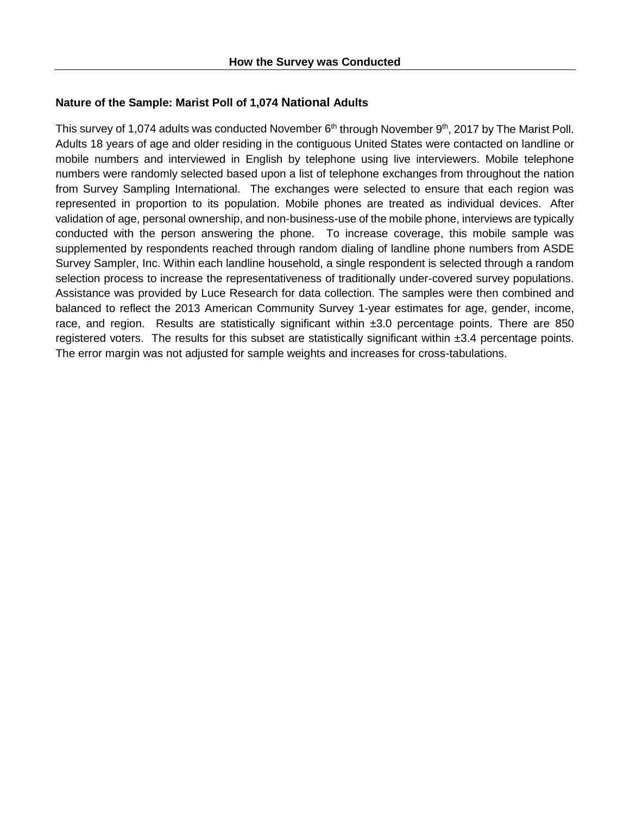## **Nature of the Sample: Marist Poll of 1,074 National Adults**

This survey of 1,074 adults was conducted November 6<sup>th</sup> through November 9<sup>th</sup>, 2017 by The Marist Poll. Adults 18 years of age and older residing in the contiguous United States were contacted on landline or mobile numbers and interviewed in English by telephone using live interviewers. Mobile telephone numbers were randomly selected based upon a list of telephone exchanges from throughout the nation from Survey Sampling International. The exchanges were selected to ensure that each region was represented in proportion to its population. Mobile phones are treated as individual devices. After validation of age, personal ownership, and non-business-use of the mobile phone, interviews are typically conducted with the person answering the phone. To increase coverage, this mobile sample was supplemented by respondents reached through random dialing of landline phone numbers from ASDE Survey Sampler, Inc. Within each landline household, a single respondent is selected through a random selection process to increase the representativeness of traditionally under-covered survey populations. Assistance was provided by Luce Research for data collection. The samples were then combined and balanced to reflect the 2013 American Community Survey 1-year estimates for age, gender, income, race, and region. Results are statistically significant within  $\pm 3.0$  percentage points. There are 850 registered voters. The results for this subset are statistically significant within  $\pm 3.4$  percentage points. The error margin was not adjusted for sample weights and increases for cross-tabulations.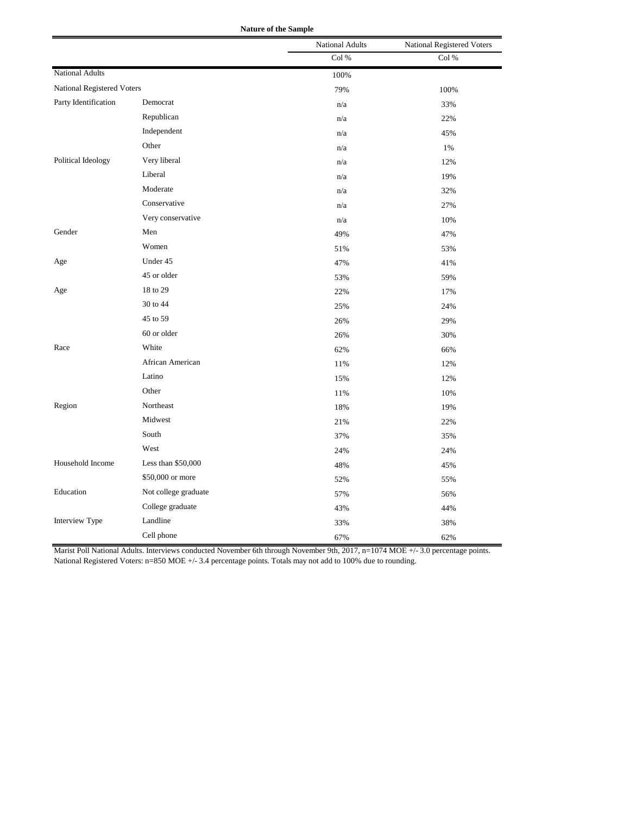| <b>Nature of the Sample</b> |  |  |  |  |
|-----------------------------|--|--|--|--|
|-----------------------------|--|--|--|--|

|                            |                      | <b>National Adults</b> | National Registered Voters |
|----------------------------|----------------------|------------------------|----------------------------|
|                            |                      | Col %                  | Col %                      |
| <b>National Adults</b>     |                      | 100%                   |                            |
| National Registered Voters |                      | 79%                    | 100%                       |
| Party Identification       | Democrat             | n/a                    | 33%                        |
|                            | Republican           | n/a                    | 22%                        |
|                            | Independent          | n/a                    | 45%                        |
|                            | Other                | n/a                    | 1%                         |
| Political Ideology         | Very liberal         | n/a                    | 12%                        |
|                            | Liberal              | n/a                    | 19%                        |
|                            | Moderate             | n/a                    | 32%                        |
|                            | Conservative         | n/a                    | 27%                        |
|                            | Very conservative    | n/a                    | 10%                        |
| Gender                     | Men                  | 49%                    | 47%                        |
|                            | Women                | 51%                    | 53%                        |
| Age                        | Under 45             | 47%                    | 41%                        |
|                            | 45 or older          | 53%                    | 59%                        |
| Age                        | 18 to 29             | 22%                    | 17%                        |
|                            | 30 to 44             | 25%                    | 24%                        |
|                            | 45 to 59             | 26%                    | 29%                        |
|                            | 60 or older          | 26%                    | 30%                        |
| Race                       | White                | 62%                    | 66%                        |
|                            | African American     | 11%                    | 12%                        |
|                            | Latino               | 15%                    | 12%                        |
|                            | Other                | 11%                    | 10%                        |
| Region                     | Northeast            | 18%                    | 19%                        |
|                            | Midwest              | 21%                    | 22%                        |
|                            | South                | 37%                    | 35%                        |
|                            | West                 | 24%                    | 24%                        |
| Household Income           | Less than \$50,000   | 48%                    | 45%                        |
|                            | \$50,000 or more     | 52%                    | 55%                        |
| Education                  | Not college graduate | 57%                    | 56%                        |
|                            | College graduate     | 43%                    | 44%                        |
| <b>Interview Type</b>      | Landline             | 33%                    | 38%                        |
|                            | Cell phone           | 67%                    | 62%                        |

Marist Poll National Adults. Interviews conducted November 6th through November 9th, 2017, n=1074 MOE +/- 3.0 percentage points. National Registered Voters: n=850 MOE +/- 3.4 percentage points. Totals may not add to 100% due to rounding.